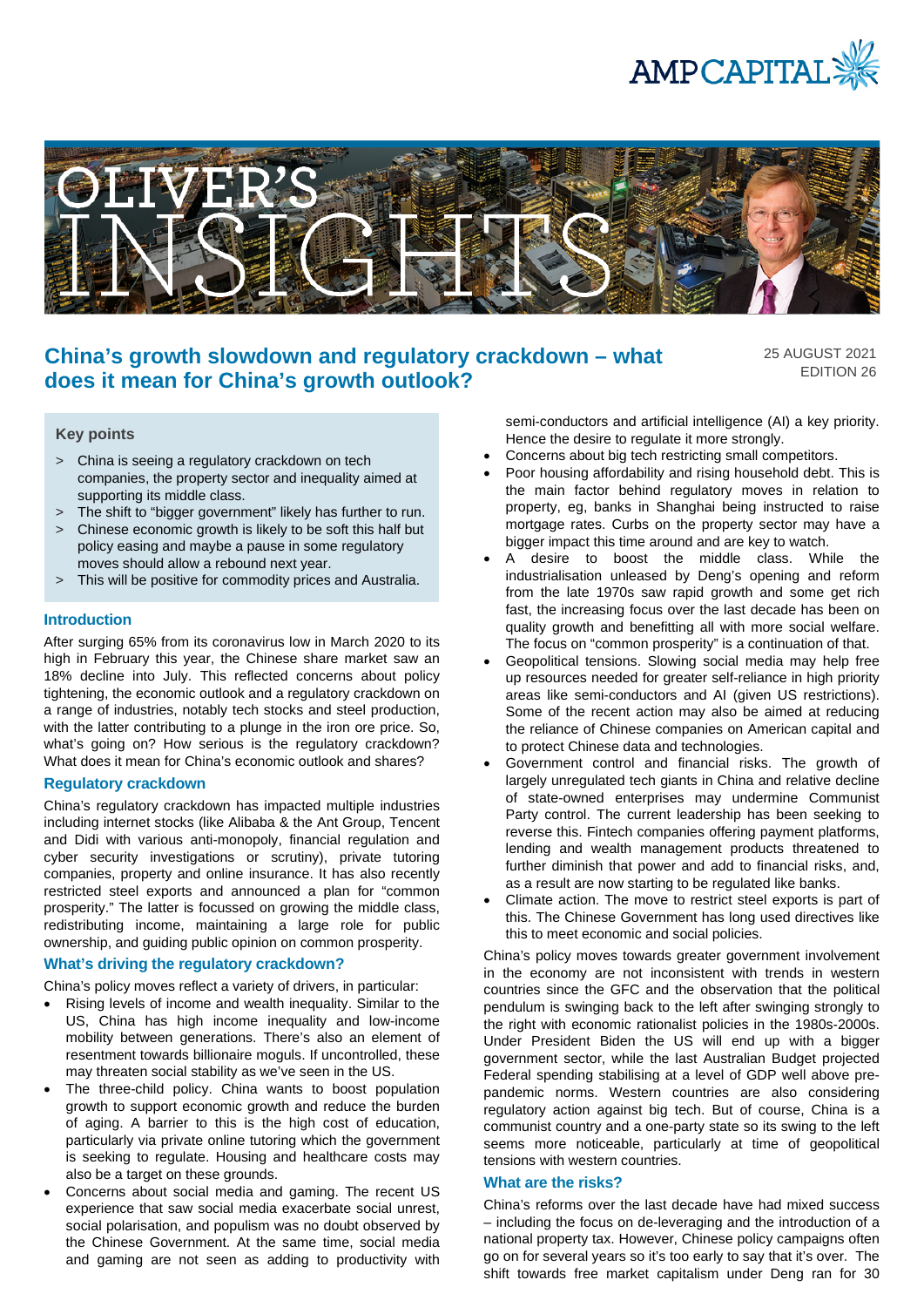



# **China's growth slowdown and regulatory crackdown – what does it mean for China's growth outlook?**

25 AUGUST 2021 EDITION 26

### **Key points**

- > China is seeing a regulatory crackdown on tech companies, the property sector and inequality aimed at supporting its middle class.
- > The shift to "bigger government" likely has further to run.
- > Chinese economic growth is likely to be soft this half but policy easing and maybe a pause in some regulatory moves should allow a rebound next year.
- > This will be positive for commodity prices and Australia.

### **Introduction**

After surging 65% from its coronavirus low in March 2020 to its high in February this year, the Chinese share market saw an 18% decline into July. This reflected concerns about policy tightening, the economic outlook and a regulatory crackdown on a range of industries, notably tech stocks and steel production, with the latter contributing to a plunge in the iron ore price. So, what's going on? How serious is the regulatory crackdown? What does it mean for China's economic outlook and shares?

### **Regulatory crackdown**

China's regulatory crackdown has impacted multiple industries including internet stocks (like Alibaba & the Ant Group, Tencent and Didi with various anti-monopoly, financial regulation and cyber security investigations or scrutiny), private tutoring companies, property and online insurance. It has also recently restricted steel exports and announced a plan for "common prosperity." The latter is focussed on growing the middle class, redistributing income, maintaining a large role for public ownership, and guiding public opinion on common prosperity.

### **What's driving the regulatory crackdown?**

China's policy moves reflect a variety of drivers, in particular:

- Rising levels of income and wealth inequality. Similar to the US, China has high income inequality and low-income mobility between generations. There's also an element of resentment towards billionaire moguls. If uncontrolled, these may threaten social stability as we've seen in the US.
- The three-child policy. China wants to boost population growth to support economic growth and reduce the burden of aging. A barrier to this is the high cost of education, particularly via private online tutoring which the government is seeking to regulate. Housing and healthcare costs may also be a target on these grounds.
- Concerns about social media and gaming. The recent US experience that saw social media exacerbate social unrest, social polarisation, and populism was no doubt observed by the Chinese Government. At the same time, social media and gaming are not seen as adding to productivity with

semi-conductors and artificial intelligence (AI) a key priority. Hence the desire to regulate it more strongly.

- Concerns about big tech restricting small competitors.
- Poor housing affordability and rising household debt. This is the main factor behind regulatory moves in relation to property, eg, banks in Shanghai being instructed to raise mortgage rates. Curbs on the property sector may have a bigger impact this time around and are key to watch.
- A desire to boost the middle class. While the industrialisation unleased by Deng's opening and reform from the late 1970s saw rapid growth and some get rich fast, the increasing focus over the last decade has been on quality growth and benefitting all with more social welfare. The focus on "common prosperity" is a continuation of that.
- Geopolitical tensions. Slowing social media may help free up resources needed for greater self-reliance in high priority areas like semi-conductors and AI (given US restrictions). Some of the recent action may also be aimed at reducing the reliance of Chinese companies on American capital and to protect Chinese data and technologies.
- Government control and financial risks. The growth of largely unregulated tech giants in China and relative decline of state-owned enterprises may undermine Communist Party control. The current leadership has been seeking to reverse this. Fintech companies offering payment platforms, lending and wealth management products threatened to further diminish that power and add to financial risks, and, as a result are now starting to be regulated like banks.
- Climate action. The move to restrict steel exports is part of this. The Chinese Government has long used directives like this to meet economic and social policies.

China's policy moves towards greater government involvement in the economy are not inconsistent with trends in western countries since the GFC and the observation that the political pendulum is swinging back to the left after swinging strongly to the right with economic rationalist policies in the 1980s-2000s. Under President Biden the US will end up with a bigger government sector, while the last Australian Budget projected Federal spending stabilising at a level of GDP well above prepandemic norms. Western countries are also considering regulatory action against big tech. But of course, China is a communist country and a one-party state so its swing to the left seems more noticeable, particularly at time of geopolitical tensions with western countries.

### **What are the risks?**

China's reforms over the last decade have had mixed success – including the focus on de-leveraging and the introduction of a national property tax. However, Chinese policy campaigns often go on for several years so it's too early to say that it's over. The shift towards free market capitalism under Deng ran for 30